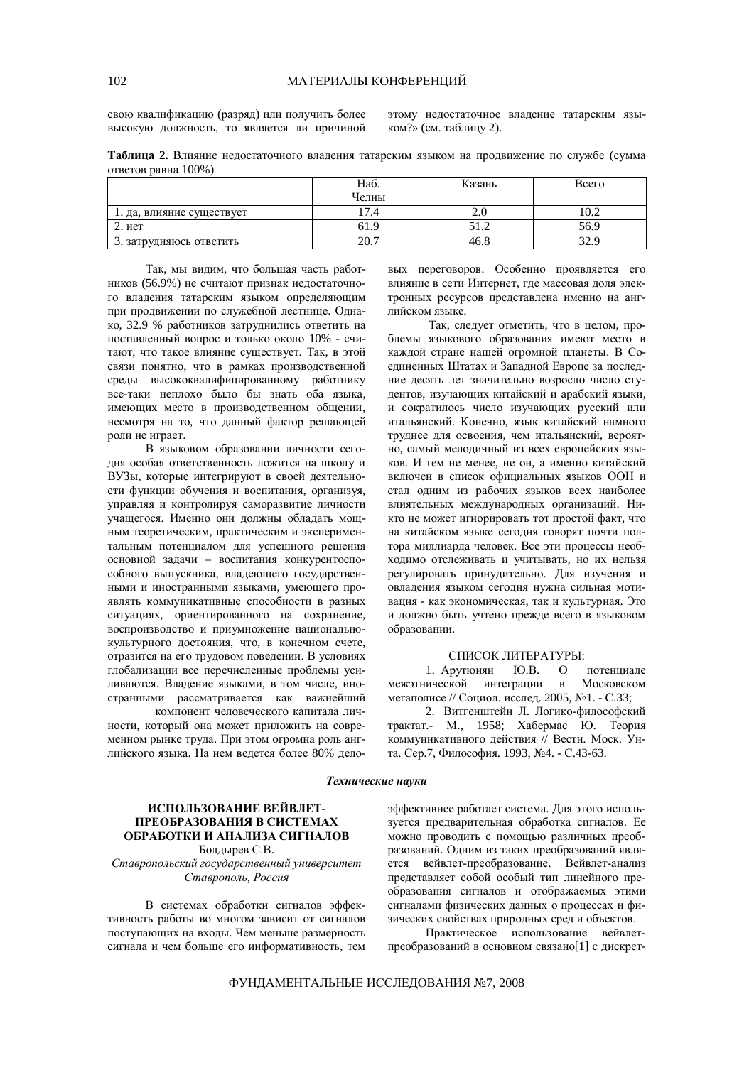свою квалификацию (разряд) или получить более высокую должность, то является ли причиной этому недостаточное владение татарским языком?» (см. таблицу 2).

|                     | Таблица 2. Влияние недостаточного владения татарским языком на продвижение по службе (сумма |  |  |  |  |
|---------------------|---------------------------------------------------------------------------------------------|--|--|--|--|
| ответов равна 100%) |                                                                                             |  |  |  |  |

|                           | Наб.<br>Челны | Казань  | Всего          |
|---------------------------|---------------|---------|----------------|
| 1. да, влияние существует |               |         | 1 V.Z          |
| 2. нет                    | 61.9          | ے . ۔ ب | 56.9           |
| 3. затрудняюсь ответить   | 20.7          |         | 32 Q<br>.، ئەڭ |

Так, мы видим, что большая часть работников (56.9%) не считают признак недостаточного владения татарским языком определяющим при продвижении по служебной лестнице. Однако, 32.9 % работников затруднились ответить на поставленный вопрос и только около 10% - считают, что такое влияние существует. Так, в этой связи понятно, что в рамках производственной среды высококвалифицированному работнику все-таки неплохо было бы знать оба языка, имеющих место в производственном общении, несмотря на то, что данный фактор решающей роли не играет.

В языковом образовании личности сегодня особая ответственность ложится на школу и ВУЗы, которые интегрируют в своей деятельности функции обучения и воспитания, организуя, управляя и контролируя саморазвитие личности учащегося. Именно они должны обладать мощным теоретическим, практическим и экспериментальным потенциалом для успешного решения основной задачи – воспитания конкурентоспособного выпускника, владеющего государственными и иностранными языками, умеющего проявлять коммуникативные способности в разных ситуациях, ориентированного на сохранение, воспроизводство и приумножение национальнокультурного достояния, что, в конечном счете, отразится на его трудовом поведении. В условиях глобализации все перечисленные проблемы усиливаются. Владение языками, в том числе, иностранными рассматривается как важнейший

компонент человеческого капитала личности, который она может приложить на современном рынке труда. При этом огромна роль английского языка. На нем велется более 80% лело-

вых переговоров. Особенно проявляется его влияние в сети Интернет, где массовая доля электронных ресурсов представлена именно на английском языке.

Так, следует отметить, что в целом, проблемы языкового образования имеют место в каждой стране нашей огромной планеты. В Соединенных Штатах и Западной Европе за последние десять лет значительно возросло число студентов, изучающих китайский и арабский языки, и сократилось число изучающих русский или итальянский. Конечно, язык китайский намного труднее для освоения, чем итальянский, вероятно, самый мелодичный из всех европейских языков. И тем не менее, не он, а именно китайский включен в список официальных языков ООН и стал одним из рабочих языков всех наиболее влиятельных международных организаций. Никто не может игнорировать тот простой факт, что на китайском языке сегодня говорят почти полтора миллиарда человек. Все эти процессы необходимо отслеживать и учитывать, но их нельзя регулировать принудительно. Для изучения и овладения языком сегодня нужна сильная мотивация - как экономическая, так и культурная. Это и должно быть учтено прежде всего в языковом образовании.

### СПИСОК ЛИТЕРАТУРЫ:

1. Арутюнян Ю.В. О потенциале межэтнической интеграции в Московском мегаполисе // Социол. исслед. 2005, №1. - С.33;

2. Витгенштейн Л. Логико-философский трактат.- М., 1958; Хабермас Ю. Теория  $\overline{X}$ коммуникативного действия // Вестн. Моск. Унта. Сер.7, Философия. 1993, №4. - С.43-63.

# Технические науки

## ИСПОЛЬЗОВАНИЕ ВЕЙВЛЕТ-ПРЕОБРАЗОВАНИЯ В СИСТЕМАХ ОБРАБОТКИ И АНАЛИЗА СИГНАЛОВ Болдырев С.В.

Ставропольский государственный университет Cтаврополь, Россия

В системах обработки сигналов эффективность работы во многом зависит от сигналов поступающих на входы. Чем меньше размерность сигнала и чем больше его информативность, тем

эффективнее работает система. Для этого используется предварительная обработка сигналов. Ее можно проводить с помощью различных преобразований. Одним из таких преобразований является вейвлет-преобразование. Вейвлет-анализ представляет собой особый тип линейного преобразования сигналов и отображаемых этими сигналами физических данных о процессах и физических свойствах природных сред и объектов.

Практическое использование вейвлетпреобразований в основном связано[1] с дискрет-

ФУНЛАМЕНТАЛЬНЫЕ ИССЛЕЛОВАНИЯ №7, 2008